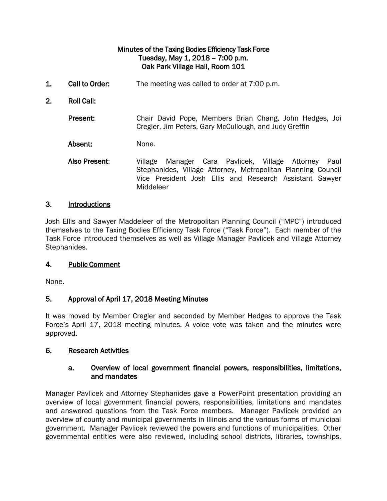### Minutes of the Taxing Bodies Efficiency Task Force Tuesday, May 1, 2018 – 7:00 p.m. Oak Park Village Hall, Room 101

- 1. Call to Order: The meeting was called to order at 7:00 p.m.
- 2. Roll Call:

Present: Chair David Pope, Members Brian Chang, John Hedges, Joi Cregler, Jim Peters, Gary McCullough, and Judy Greffin

Absent: None.

Also Present: Village Manager Cara Pavlicek, Village Attorney Paul Stephanides, Village Attorney, Metropolitan Planning Council Vice President Josh Ellis and Research Assistant Sawyer Middeleer

#### 3. Introductions

Josh Ellis and Sawyer Maddeleer of the Metropolitan Planning Council ("MPC") introduced themselves to the Taxing Bodies Efficiency Task Force ("Task Force"). Each member of the Task Force introduced themselves as well as Village Manager Pavlicek and Village Attorney Stephanides.

#### 4. Public Comment

None.

### 5. Approval of April 17, 2018 Meeting Minutes

It was moved by Member Cregler and seconded by Member Hedges to approve the Task Force's April 17, 2018 meeting minutes. A voice vote was taken and the minutes were approved.

#### 6. Research Activities

#### a. Overview of local government financial powers, responsibilities, limitations, and mandates

Manager Pavlicek and Attorney Stephanides gave a PowerPoint presentation providing an overview of local government financial powers, responsibilities, limitations and mandates and answered questions from the Task Force members. Manager Pavlicek provided an overview of county and municipal governments in Illinois and the various forms of municipal government. Manager Pavlicek reviewed the powers and functions of municipalities. Other governmental entities were also reviewed, including school districts, libraries, townships,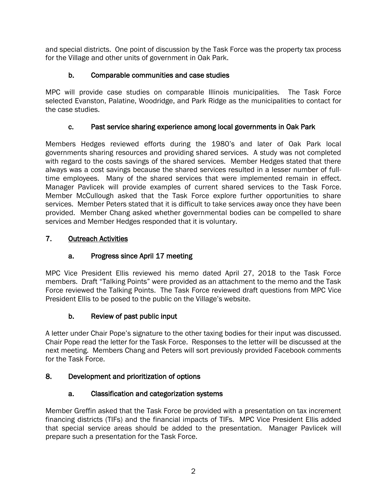and special districts. One point of discussion by the Task Force was the property tax process for the Village and other units of government in Oak Park.

## b. Comparable communities and case studies

MPC will provide case studies on comparable Illinois municipalities. The Task Force selected Evanston, Palatine, Woodridge, and Park Ridge as the municipalities to contact for the case studies.

## c. Past service sharing experience among local governments in Oak Park

Members Hedges reviewed efforts during the 1980's and later of Oak Park local governments sharing resources and providing shared services. A study was not completed with regard to the costs savings of the shared services. Member Hedges stated that there always was a cost savings because the shared services resulted in a lesser number of fulltime employees. Many of the shared services that were implemented remain in effect. Manager Pavlicek will provide examples of current shared services to the Task Force. Member McCullough asked that the Task Force explore further opportunities to share services. Member Peters stated that it is difficult to take services away once they have been provided. Member Chang asked whether governmental bodies can be compelled to share services and Member Hedges responded that it is voluntary.

## 7. Outreach Activities

# a. Progress since April 17 meeting

MPC Vice President Ellis reviewed his memo dated April 27, 2018 to the Task Force members. Draft "Talking Points" were provided as an attachment to the memo and the Task Force reviewed the Talking Points. The Task Force reviewed draft questions from MPC Vice President Ellis to be posed to the public on the Village's website.

# b. Review of past public input

A letter under Chair Pope's signature to the other taxing bodies for their input was discussed. Chair Pope read the letter for the Task Force. Responses to the letter will be discussed at the next meeting. Members Chang and Peters will sort previously provided Facebook comments for the Task Force.

### 8. Development and prioritization of options

# a. Classification and categorization systems

Member Greffin asked that the Task Force be provided with a presentation on tax increment financing districts (TIFs) and the financial impacts of TIFs. MPC Vice President Ellis added that special service areas should be added to the presentation. Manager Pavlicek will prepare such a presentation for the Task Force.